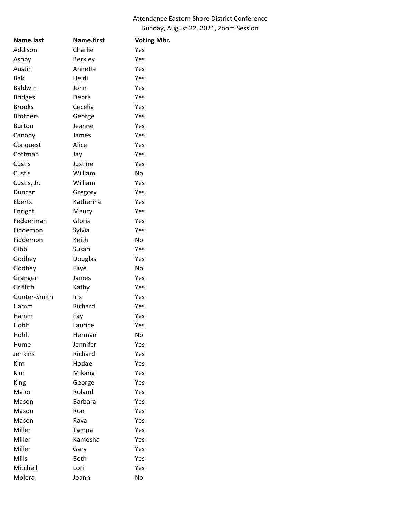## Attendance Eastern Shore District Conference Sunday, August 22, 2021, Zoom Session

| Name.last       | Name.first     | <b>Voting Mbr.</b> |
|-----------------|----------------|--------------------|
| Addison         | Charlie        | Yes                |
| Ashby           | <b>Berkley</b> | Yes                |
| Austin          | Annette        | Yes                |
| <b>Bak</b>      | Heidi          | Yes                |
| <b>Baldwin</b>  | John           | Yes                |
| <b>Bridges</b>  | Debra          | Yes                |
| <b>Brooks</b>   | Cecelia        | Yes                |
| <b>Brothers</b> | George         | Yes                |
| <b>Burton</b>   | Jeanne         | Yes                |
| Canody          | James          | Yes                |
| Conquest        | Alice          | Yes                |
| Cottman         | Jay            | Yes                |
| Custis          | Justine        | Yes                |
| Custis          | William        | N٥                 |
| Custis, Jr.     | William        | Yes                |
| Duncan          | Gregory        | Yes                |
| Eberts          | Katherine      | Yes                |
| Enright         | Maury          | Yes                |
| Fedderman       | Gloria         | Yes                |
| Fiddemon        | Sylvia         | Yes                |
| Fiddemon        | Keith          | No                 |
| Gibb            | Susan          | Yes                |
| Godbey          | Douglas        | Yes                |
| Godbey          | Faye           | No                 |
| Granger         | James          | Yes                |
| Griffith        | Kathy          | Yes                |
| Gunter-Smith    | Iris           | Yes                |
| Hamm            | Richard        | Yes                |
| Hamm            | Fay            | Yes                |
| Hohlt           | Laurice        | Yes                |
| Hohlt           | Herman         | No                 |
| Hume            | Jennifer       | Yes                |
| <b>Jenkins</b>  | Richard        | Yes                |
| <b>Kim</b>      | Hodae          | Yes                |
| Kim             | Mikang         | Yes                |
| King            | George         | Yes                |
| Major           | Roland         | Yes                |
| Mason           | <b>Barbara</b> | Yes                |
| Mason           | Ron            | Yes                |
| Mason           | Rava           | Yes                |
| Miller          | Tampa          | Yes                |
| Miller          | Kamesha        | Yes                |
| Miller          | Gary           | Yes                |
| Mills           | Beth           | Yes                |
| Mitchell        | Lori           | Yes                |
| Molera          | Joann          | No                 |